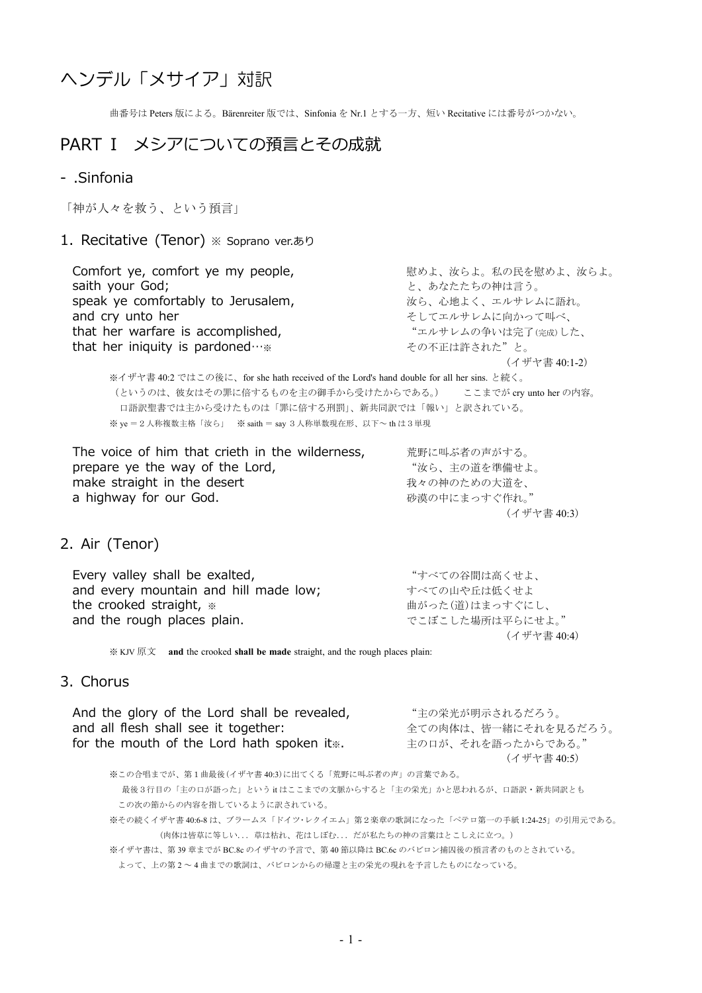# ヘンデル「メサイア」対訳

曲番号は Peters 版による。Bärenreiter 版では、Sinfonia を Nr.1 とする一方、短い Recitative には番号がつかない。

# PART I メシアについての預言とその成就

#### - .Sinfonia

「神が人々を救う、という預言」

#### 1. Recitative (Tenor) ※ Soprano ver.あり

Comfort ye, comfort ye my people, アイナングのある 感めよ、汝らよ。私の民を慰めよ、汝らよ。 saith your God; https://www.faith.com/saith your God; http://www.faith.com/saith.com/saith/www.faith.com/saith **speak ye comfortably to Jerusalem, http://www.margamaread.org/** あり、心地よく、エルサレムに語れ。 and cry unto her そしてエルサレムに向かって叫べ、 that her warfare is accomplished, "エルサレムの争いは完了(完成)した、 that her iniquity is pardoned…※ その不正は許された"と。 (イザヤ書 40:1-2)

※イザヤ書 40:2 ではこの後に、for she hath received of the Lord's hand double for all her sins. と続く。 (というのは、彼女はその罪に倍するものを主の御手から受けたからである。) ここまでが cry unto her の内容。 口語訳聖書では主から受けたものは「罪に倍する刑罰」、新共同訳では「報い」と訳されている。 ※ ye = 2 人称複数主格「汝ら」 ※ saith = say 3 人称単数現在形、以下~ th は3単現

The voice of him that crieth in the wilderness, 荒野に叫ぶ者の声がする。 prepare ye the way of the Lord, the the way of the lord, make straight in the desert<br>
a highway for our God.<br>
a highway for our God. a highway for our God.

(イザヤ書 40:3)

### 2. Air (Tenor)

Every valley shall be exalted, https://www.windows.com/windows/windows/windows/windows/ and every mountain and hill made low; オペての山や丘は低くせよ the crooked straight, ※ 曲がった(道)はまっすぐにし、 and the rough places plain. <br>
The manufacture of the rough places plain. (イザヤ書 40:4)

※ KJV 原文 **and** the crooked **shall be made** straight, and the rough places plain:

#### 3. Chorus

And the glory of the Lord shall be revealed, "主の栄光が明示されるだろう。<br>and all flesh shall see it together:  $\hat{z}$ 全ての肉体は、皆一緒にそれを見るだろう。<br>主の口が、それを語ったからである。" for the mouth of the Lord hath spoken it $\ddot{x}$ . (イザヤ書 40:5)

※この合唱までが、第1曲最後(イザヤ書 40:3)に出てくる「荒野に叫ぶ者の声」の言葉である。 最後3行目の「主の口が語った」という it はここまでの文脈からすると「主の栄光」かと思われるが、口語訳・新共同訳とも この次の節からの内容を指しているように訳されている。 ※その続くイザヤ書 40:6-8 は、ブラームス「ドイツ・レクイエム」第2楽章の歌詞になった「ペテロ第一の手紙 1:24-25」の引用元である。 (肉体は皆草に等しい...草は枯れ、花はしぼむ...だが私たちの神の言葉はとこしえに立つ。) ※イザヤ書は、第 39 章までが BC.8c のイザヤの予言で、第 40 節以降は BC.6c のバビロン捕囚後の預言者のものとされている。 よって、上の第 2 ~ 4 曲までの歌詞は、バビロンからの帰還と主の栄光の現れを予言したものになっている。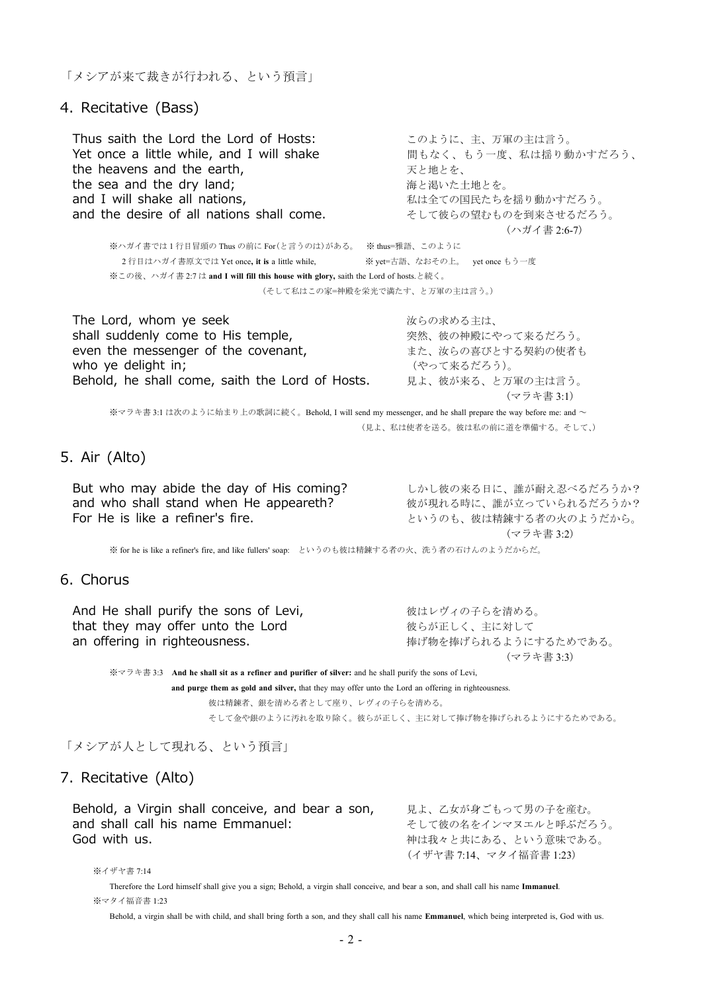「メシアが来て裁きが行われる、という預言」

4. Recitative (Bass)

Thus saith the Lord the Lord of Hosts: このように、主、万軍の主は言う。 Yet once a little while, and I will shake <br>
■ 間もなく、もう一度、私は揺り動かすだろう、 the heavens and the earth, アキング・デビ地とを、 the sea and the dry land;<br>
and I will shake all nations.<br>
<sub>and</sub> I will shake all nations. and the desire of all nations shall come. <br>
and the desire of all nations shall come.<br>  $\mathcal{L} \setminus \mathcal{L}$ 

私は全ての国民たちを揺り動かすだろう。

(ハガイ書 2:6-7)

※ハガイ書では 1 行目冒頭の Thus の前に For(と言うのは)がある。 ※ thus=雅語、このように 2 行目はハガイ書原文では Yet once**, it is** a little while, ※ yet=古語、なおその上。 yet once もう一度 ※この後、ハガイ書 2:7 は **and I will fill this house with glory,** saith the Lord of hosts.と続く。 (そして私はこの家=神殿を栄光で満たす、と万軍の主は言う。)

The Lord, whom ye seek オンチャング おもの あいおん あいおん あいおん なんこう しょうかい あいまん はんしゃく はんしゃ はんしゃ はんしゃ はんしゃ はんしゃ こうしゃ shall suddenly come to His temple, exercise 突然、彼の神殿にやって来るだろう。<br>
even the messenger of the covenant, <br>
また、汝らの喜びとする契約の使者も even the messenger of the covenant, who ye delight in; and the context of the context (やって来るだろう)。 Behold, he shall come, saith the Lord of Hosts. 見よ、彼が来る、と万軍の主は言う。 (マラキ書 3:1) ※マラキ書 3:1 は次のように始まり上の歌詞に続く。Behold, I will send my messenger, and he shall prepare the way before me: and ~ (見よ、私は使者を送る。彼は私の前に道を準備する。そして、)

### 5. Air (Alto)

But who may abide the day of His coming? しかし彼の来る日に、誰が耐え忍べるだろうか? and who shall stand when He appeareth?<br>For He is like a refiner's fire.<br>アいうのも、彼は精錬する者の火のようだから。

というのも、彼は精錬する者の火のようだから。 (マラキ書 3:2)

※ for he is like a refiner's fire, and like fullers' soap: というのも彼は精錬する者の火、洗う者の石けんのようだからだ。

#### 6. Chorus

And He shall purify the sons of Levi, アンチャングリックスタックスの子らを清める。 that they may offer unto the Lord<br>
an offering in righteousness.<br>  $\frac{1}{2}$   $\frac{1}{2}$   $\frac{1}{2}$   $\frac{1}{2}$   $\frac{1}{2}$   $\frac{1}{2}$   $\frac{1}{2}$   $\frac{1}{2}$   $\frac{1}{2}$   $\frac{1}{2}$   $\frac{1}{2}$   $\frac{1}{2}$   $\frac{1}{2}$   $\frac{1}{2}$   $\frac{1}{2}$   $\frac{$ 

捧げ物を捧げられるようにするためである。 (マラキ書 3:3)

※マラキ書 3:3 **And he shall sit as a refiner and purifier of silver:** and he shall purify the sons of Levi, **and purge them as gold and silver,** that they may offer unto the Lord an offering in righteousness.

彼は精錬者、銀を清める者として座り、レヴィの子らを清める。

そして金や銀のように汚れを取り除く。彼らが正しく、主に対して捧げ物を捧げられるようにするためである。

「メシアが人として現れる、という預言」

#### 7. Recitative (Alto)

Behold, a Virgin shall conceive, and bear a son, 現よ、乙女が身ごもって男の子を産む。 and shall call his name Emmanuel:<br>
God with us.<br>
God with us. 神は我々と共にある、という意味である。 (イザヤ書 7:14、マタイ福音書 1:23)

※イザヤ書 7:14

Therefore the Lord himself shall give you a sign; Behold, a virgin shall conceive, and bear a son, and shall call his name **Immanuel**. ※マタイ福音書 1:23

Behold, a virgin shall be with child, and shall bring forth a son, and they shall call his name **Emmanuel**, which being interpreted is, God with us.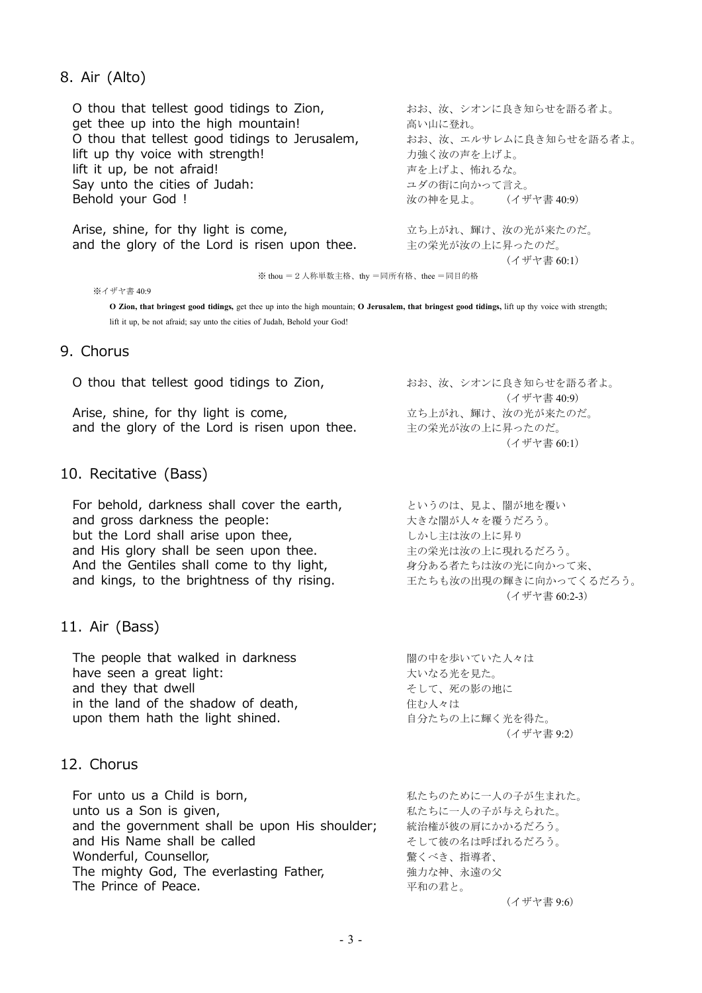## 8. Air (Alto)

O thou that tellest good tidings to Zion, おお、汝、シオンに良き知らせを語る者よ。 get thee up into the high mountain! インファイン あい山に登れ。 O thou that tellest good tidings to Jerusalem, おお、汝、エルサレムに良き知らせを語る者よ。 lift up thy voice with strength! オンパントリック カ強く汝の声を上げよ。 lift it up, be not afraid! 声を上げよ、怖れるな。 Say unto the cities of Judah:<br>Behold your God ! <br>アイザヤ書 40:9) Behold your God ! ろんじゃく はんしゃ おんじょう あいきょう あいきょう はんしょう はんしょう はんしょう はんしょう はんしょう はんしゃ はんしょう はんしょう はんしょう はんしょう

Arise, shine, for thy light is come, カンファンコンコンカーガンス 輝け、汝の光が来たのだ。 and the glory of the Lord is risen upon thee. 主の栄光が汝の上に昇ったのだ。

(イザヤ書 60:1)

※ thou =2人称単数主格、thy =同所有格、thee =同目的格

※イザヤ書 40:9

O Zion, that bringest good tidings, get thee up into the high mountain; O Jerusalem, that bringest good tidings, lift up thy voice with strength; lift it up, be not afraid; say unto the cities of Judah, Behold your God!

### 9. Chorus

| O thou that tellest good tidings to Zion,     | おお、汝、シオンに良き知らせを語る者よ。 |
|-----------------------------------------------|----------------------|
|                                               | (イザヤ書 40:9)          |
| Arise, shine, for thy light is come,          | 立ち上がれ、輝け、汝の光が来たのだ。   |
| and the glory of the Lord is risen upon thee. | 主の栄光が汝の上に昇ったのだ。      |
|                                               | (イザヤ書 60:1)          |

## 10. Recitative (Bass)

For behold, darkness shall cover the earth, というのは、見よ、闇が地を覆い and gross darkness the people: カランナン 大きな闇が人々を覆うだろう。 but the Lord shall arise upon thee, <br>レかし主は汝の上に昇り and His glory shall be seen upon thee. <br>
and His glory shall be seen upon thee.<br>  $\pm \sigma$ 栄光は汝の上に現れるだろう。 And the Gentiles shall come to thy light, アンチョンタタカる者たちは汝の光に向かって来、 and kings, to the brightness of thy rising. <br>
エたちも汝の出現の輝きに向かってくるだろう。

#### 11. Air (Bass)

The people that walked in darkness <br>■ 闇の中を歩いていた人々は have seen a great light: アイランド こうしゃ しゅうしょう 大いなる光を見た。 and they that dwell here are the control to the control そして、死の影の地に in the land of the shadow of death,<br>upon them hath the light shined. <br>コンピューター 自分たちの上に輝く光を得た。 upon them hath the light shined.

## 12. Chorus

For unto us a Child is born, https://www.assimus.com/www.assimus.com/www.assimus.com/www.assimus.com/ unto us a Son is given, https://www.fackbook.com/www.fackbook.com/www.fackbook.com/ and the government shall be upon His shoulder; 統治権が彼の肩にかかるだろう。 and His Name shall be called <br>
<sub>そして彼の名は呼ばれるだろう。</sub> Wonderful, Counsellor, アンチャングのエングのコントリック かいしょう かいきょう かいきょう かいしょう かいしょう かいしょう かいしょう おくべき、指導者、 The mighty God, The everlasting Father, アンチェンチング神、永遠の父 The Prince of Peace. **インタントリック こうしょう** エネックスティック 平和の君と。

(イザヤ書 60:1)

(イザヤ書 60:2-3)

(イザヤ書 9:2)

(イザヤ書 9:6)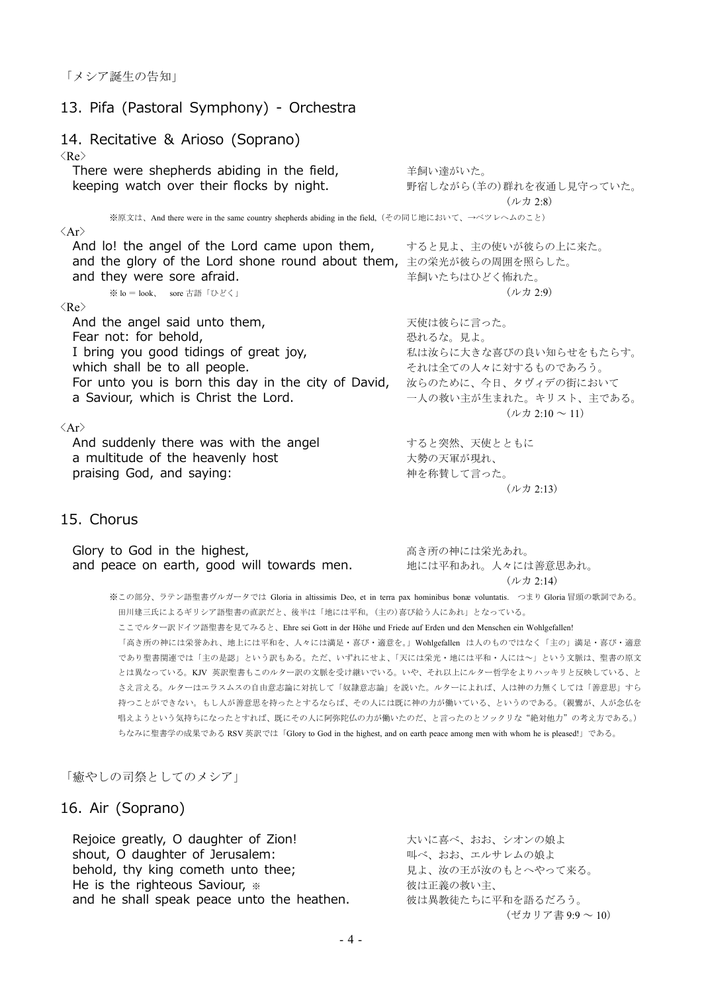## 13. Pifa (Pastoral Symphony) - Orchestra

#### 14. Recitative & Arioso (Soprano)  $\langle Re \rangle$

There were shepherds abiding in the field, キ飼い達がいた。 keeping watch over their flocks by night. 野宿しながら(羊の)群れを夜通し見守っていた。

(ルカ 2:8)

(ルカ 2:13)

※原文は、And there were in the same country shepherds abiding in the field,(その同じ地において、→ベツレヘムのこと)  $\langle \Delta x \rangle$ 

| And lo! the angel of the Lord came upon them,<br>and the glory of the Lord shone round about them,<br>and they were sore afraid. | すると見よ、主の使いが彼らの上に来た。<br>主の栄光が彼らの周囲を照らした。<br>羊飼いたちはひどく怖れた。 |
|----------------------------------------------------------------------------------------------------------------------------------|----------------------------------------------------------|
| ※ lo = look、 sore 古語「ひどく」                                                                                                        | $($ ルカ 2:9)                                              |
| $\langle Re \rangle$                                                                                                             |                                                          |
| And the angel said unto them,                                                                                                    | 天使は彼らに言った。                                               |
| Fear not: for behold,                                                                                                            | 恐れるな。見よ。                                                 |
| I bring you good tidings of great joy,                                                                                           | 私は汝らに大きな喜びの良い知らせをもたらす。                                   |
| which shall be to all people.                                                                                                    | それは全ての人々に対するものであろう。                                      |
| For unto you is born this day in the city of David,                                                                              | 汝らのために、今日、タヴィデの街において                                     |
| a Saviour, which is Christ the Lord.                                                                                             | 一人の救い主が生まれた。キリスト、主である。                                   |
|                                                                                                                                  | (ルカ 2:10 $\sim$ 11)                                      |
| $\langle Ar \rangle$                                                                                                             |                                                          |
| And suddenly there was with the angel                                                                                            | すると突然、天使とともに                                             |
| a multitude of the heavenly host                                                                                                 | 大勢の天軍が現れ、                                                |
| praising God, and saying:                                                                                                        | 神を称賛して言った。                                               |
|                                                                                                                                  |                                                          |

### 15. Chorus

| Glory to God in the highest,               | 高き所の神には栄光あれ。       |
|--------------------------------------------|--------------------|
| and peace on earth, good will towards men. | 地には平和あれ。人々には善意思あれ。 |
|                                            | (ルカ 2:14)          |

※この部分、ラテン語聖書ヴルガータでは Gloria in altissimis Deo, et in terra pax hominibus bonæ voluntatis. つまり Gloria 冒頭の歌詞である。 田川建三氏によるギリシア語聖書の直訳だと、後半は「地には平和。(主の)喜び給う人にあれ」となっている。 ここでルター訳ドイツ語聖書を見てみると、Ehre sei Gott in der Höhe und Friede auf Erden und den Menschen ein Wohlgefallen! 「高き所の神には栄誉あれ、地上には平和を、人々には満足・喜び・適意を。」Wohlgefallen は人のものではなく「主の」満足・喜び・適意 であり聖書関連では「主の是認」という訳もある。ただ、いずれにせよ、「天には栄光・地には平和・人には~」という文脈は、聖書の原文 とは異なっている。KJV 英訳聖書もこのルター訳の文脈を受け継いでいる。いや、それ以上にルター哲学をよりハッキリと反映している、と さえ言える。ルターはエラスムスの自由意志論に対抗して「奴隷意志論」を説いた。ルターによれば、人は神の力無くしては「善意思」すら 持つことができない。もし人が善意思を持ったとするならば、その人には既に神の力が働いている、というのである。(親鸞が、人が念仏を 唱えようという気持ちになったとすれば、既にその人に阿弥陀仏の力が働いたのだ、と言ったのとソックリな"絶対他力"の考え方である。) ちなみに聖書学の成果である RSV 英訳では「Glory to God in the highest, and on earth peace among men with whom he is pleased!」である。

「癒やしの司祭としてのメシア」

#### 16. Air (Soprano)

Rejoice greatly, O daughter of Zion! カントンに喜べ、おお、シオンの娘よ shout, O daughter of Jerusalem: アンチャング こうしゃ 叫べ、おお、エルサレムの娘よ behold, thy king cometh unto thee; カンファン 見よ、汝の王が汝のもとへやって来る。 He is the righteous Saviour, ※ 彼は正義の救い主、 and he shall speak peace unto the heathen. 彼は異教徒たちに平和を語るだろう。

(ゼカリア書 9:9 ~ 10)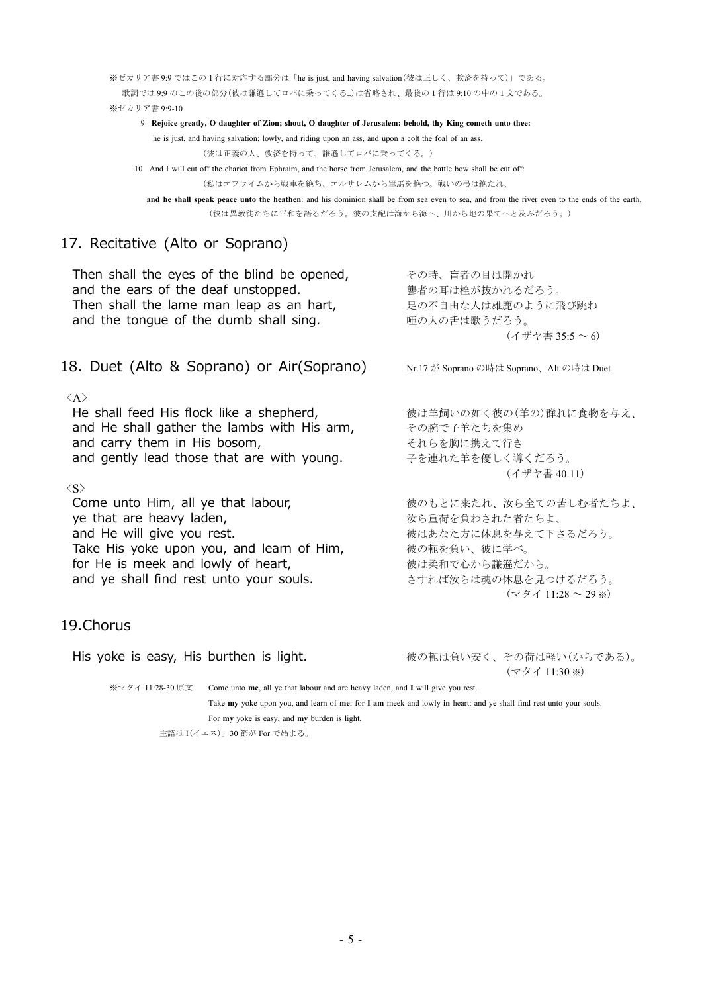※ゼカリア書 9:9 ではこの 1 行に対応する部分は「he is just, and having salvation(彼は正しく、救済を持って)」である。 歌詞では 9:9 のこの後の部分(彼は謙遜してロバに乗ってくる..)は省略され、最後の1行は 9:10 の中の1文である。 ※ゼカリア書 9:9-10

9 **Rejoice greatly, O daughter of Zion; shout, O daughter of Jerusalem: behold, thy King cometh unto thee:**

he is just, and having salvation; lowly, and riding upon an ass, and upon a colt the foal of an ass.

(彼は正義の人、救済を持って、謙遜してロバに乗ってくる。)

10 And I will cut off the chariot from Ephraim, and the horse from Jerusalem, and the battle bow shall be cut off: (私はエフライムから戦車を絶ち、エルサレムから軍馬を絶つ。戦いの弓は絶たれ、

**and he shall speak peace unto the heathen**: and his dominion shall be from sea even to sea, and from the river even to the ends of the earth. (彼は異教徒たちに平和を語るだろう。彼の支配は海から海へ、川から地の果てへと及ぶだろう。)

## 17. Recitative (Alto or Soprano)

| Then shall the eyes of the blind be opened,<br>and the ears of the deaf unstopped.<br>Then shall the lame man leap as an hart,<br>and the tongue of the dumb shall sing.                                                                          | その時、盲者の目は開かれ<br>聾者の耳は栓が抜かれるだろう。<br>足の不自由な人は雄鹿のように飛び跳ね<br>唖の人の舌は歌うだろう。<br>$($ イザヤ書 35:5 $\sim$ 6)                                                         |
|---------------------------------------------------------------------------------------------------------------------------------------------------------------------------------------------------------------------------------------------------|----------------------------------------------------------------------------------------------------------------------------------------------------------|
| 18. Duet (Alto & Soprano) or Air(Soprano)                                                                                                                                                                                                         | Nr.17 が Soprano の時は Soprano、Alt の時は Duet                                                                                                                 |
| $\langle A \rangle$<br>He shall feed His flock like a shepherd,<br>and He shall gather the lambs with His arm,<br>and carry them in His bosom,<br>and gently lead those that are with young.                                                      | 彼は羊飼いの如く彼の(羊の)群れに食物を与え、<br>その腕で子羊たちを集め<br>それらを胸に携えて行き<br>子を連れた羊を優しく導くだろう。<br>(イザヤ書 40:11)                                                                |
| $\langle S \rangle$<br>Come unto Him, all ye that labour,<br>ye that are heavy laden,<br>and He will give you rest.<br>Take His yoke upon you, and learn of Him,<br>for He is meek and lowly of heart,<br>and ye shall find rest unto your souls. | 彼のもとに来たれ、汝ら全ての苦しむ者たちよ、<br>汝ら重荷を負わされた者たちよ、<br>彼はあなた方に休息を与えて下さるだろう。<br>彼の軛を負い、彼に学べ。<br>彼は柔和で心から謙遜だから。<br>さすれば汝らは魂の休息を見つけるだろう。<br>$(\neg$ 9 1 11:28 ~ 29 *) |
|                                                                                                                                                                                                                                                   |                                                                                                                                                          |

## 19.Chorus

His yoke is easy, His burthen is light. <br>
こちらのからないのからである)。 (マタイ 11:30 ※) ※マタイ 11:28-30 原文 Come unto **me**, all ye that labour and are heavy laden, and **I** will give you rest.

> Take **my** yoke upon you, and learn of **me**; for **I am** meek and lowly **in** heart: and ye shall find rest unto your souls. For **my** yoke is easy, and **my** burden is light.

主語は I(イエス)。30 節が For で始まる。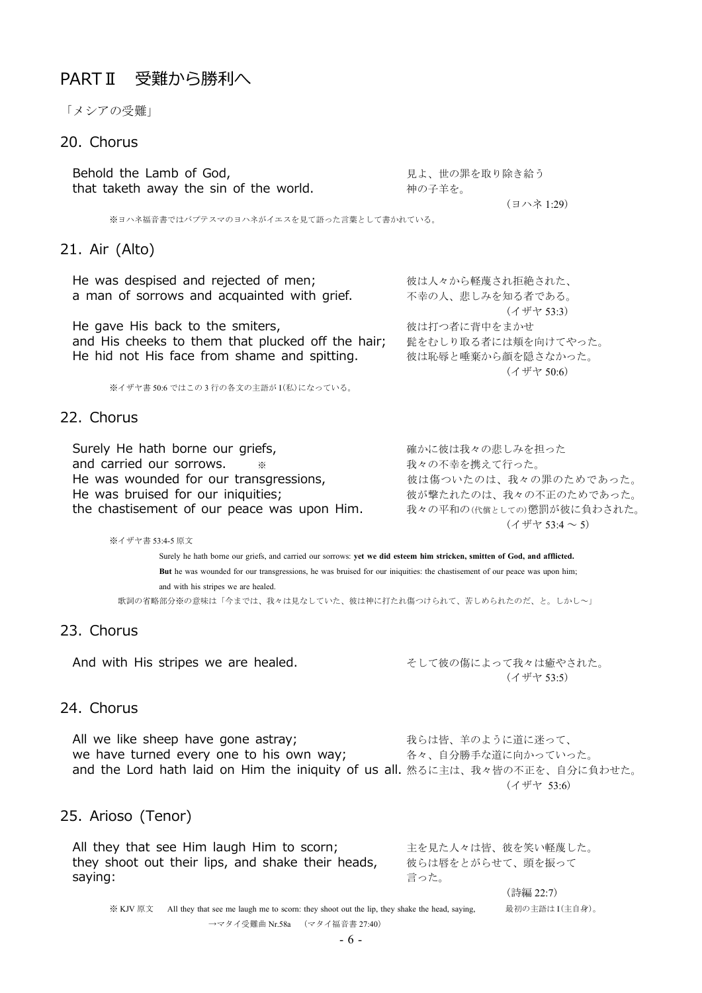## PARTⅡ 受難から勝利へ

「メシアの受難」

## 20. Chorus

Behold the Lamb of God, アイディアングリック 見よ、世の罪を取り除き給う that taketh away the sin of the world. **http://defaulteral.** 神の子羊を。

(ヨハネ 1:29)

※ヨハネ福音書ではバプテスマのヨハネがイエスを見て語った言葉として書かれている。

#### 21. Air (Alto)

He was despised and rejected of men: アンチャングセット 彼は人々から軽蔑され拒絶された、 a man of sorrows and acquainted with grief. 不幸の人、悲しみを知る者である。 (イザヤ 53:3) He gave His back to the smiters, the state of 彼は打つ者に背中をまかせ and His cheeks to them that plucked off the hair; 髭をむしり取る者には頬を向けてやった。 He hid not His face from shame and spitting. 彼は恥辱と唾棄から顔を隠さなかった。 (イザヤ 50:6)

※イザヤ書 50:6 ではこの 3 行の各文の主語が I(私)になっている。

#### 22. Chorus

Surely He hath borne our griefs, http://www.mail/text/eductoral/and/text/eductoral/setural/and/text/ and carried our sorrows. ※ スペンスコンスコンスティングの不幸を携えて行った。 He was wounded for our transgressions, which 彼は傷ついたのは、我々の罪のためであった。 He was bruised for our iniquities; アンチングの状態だれたのは、我々の不正のためであった。 the chastisement of our peace was upon Him. 我々の平和の(代償としての)懲罰が彼に負わされた。

(イザヤ 53:4 ~ 5)

※イザヤ書 53:4-5 原文

Surely he hath borne our griefs, and carried our sorrows: **yet we did esteem him stricken, smitten of God, and afflicted. But** he was wounded for our transgressions, he was bruised for our iniquities: the chastisement of our peace was upon him; and with his stripes we are healed. 歌詞の省略部分※の意味は「今までは、我々は見なしていた、彼は神に打たれ傷つけられて、苦しめられたのだ、と。しかし~」

#### 23. Chorus

And with His stripes we are healed. <br>
ーーーーーーーーーーーーーーーーーーーーーーーをはないますようなおかいた。

(イザヤ 53:5)

## 24. Chorus

All we like sheep have gone astray; オンランス 我らは皆、羊のように道に迷って、 we have turned every one to his own way; 各々、自分勝手な道に向かっていった。 and the Lord hath laid on Him the iniquity of us all. 然るに主は、我々皆の不正を、自分に負わせた。 (イザヤ 53:6)

#### 25. Arioso (Tenor)

All they that see Him laugh Him to scorn; 主を見た人々は皆、彼を笑い軽蔑した。 they shoot out their lips, and shake their heads, 被らは唇をとがらせて、頭を振って **saying: ファイン こうしょう こうしょう かいしょう かいしょう おおし 言った**。 (詩編 22:7)

※ KJV 原文 All they that see me laugh me to scorn: they shoot out the lip, they shake the head, saying, 最初の主語は I(主自身)。 →マタイ受難曲 Nr.58a (マタイ福音書 27:40)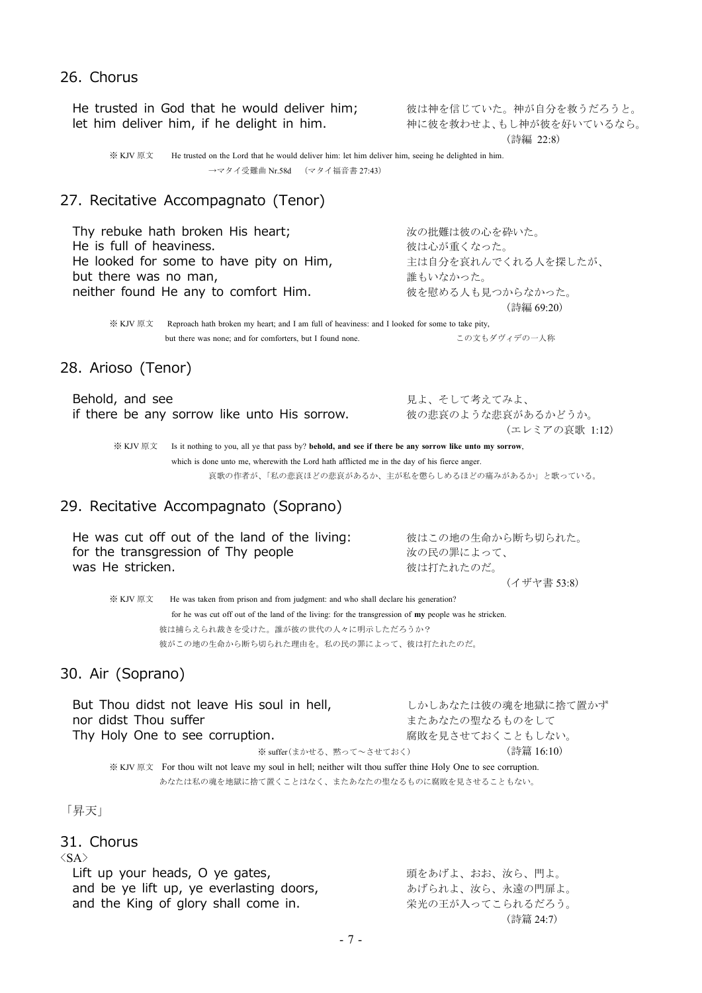## He trusted in God that he would deliver him; <br>let him deliver him, if he delight in him. <br>神に彼を救わせよ、もし神が彼を好いているなら。 let him deliver him, if he delight in him. (詩編 22:8) ※ KJV 原文 He trusted on the Lord that he would deliver him: let him deliver him, seeing he delighted in him. →マタイ受難曲 Nr.58d (マタイ福音書 27:43) 27. Recitative Accompagnato (Tenor) Thy rebuke hath broken His heart; カランス さんの批難は彼の心を砕いた。 He is full of heaviness. **http://www.fragmanager.org/setup**us.com/ He looked for some to have pity on Him, <br>エは自分を哀れんでくれる人を探したが、 but there was no man, 誰もいなかった。 neither found He any to comfort Him. みずおもある人も見つからなかった。 (詩編 69:20)

※ KJV 原文 Reproach hath broken my heart; and I am full of heaviness: and I looked for some to take pity, but there was none; and for comforters, but I found none. この文もダヴィデの一人称

## 28. Arioso (Tenor)

26. Chorus

| Behold, and see                              | 見よ、そして考えてみよ、       |
|----------------------------------------------|--------------------|
| if there be any sorrow like unto His sorrow. | 彼の悲哀のような悲哀があるかどうか。 |
|                                              | (エレミアの哀歌 1:12)     |

※ KJV 原文 Is it nothing to you, all ye that pass by? **behold, and see if there be any sorrow like unto my sorrow**, which is done unto me, wherewith the Lord hath afflicted me in the day of his fierce anger. 哀歌の作者が、「私の悲哀ほどの悲哀があるか、主が私を懲らしめるほどの痛みがあるか」と歌っている。

## 29. Recitative Accompagnato (Soprano)

| He was cut off out of the land of the living: | 彼はこの地の生命から断ち切られた。 |
|-----------------------------------------------|-------------------|
| for the transgression of Thy people           | 汝の民の罪によって、        |
| was He stricken.                              | 彼は打たれたのだ。         |
|                                               | (イザヤ書 53:8)       |

※ KJV 原文 He was taken from prison and from judgment: and who shall declare his generation? for he was cut off out of the land of the living: for the transgression of **my** people was he stricken. 彼は捕らえられ裁きを受けた。誰が彼の世代の人々に明示しただろうか?

彼がこの地の生命から断ち切られた理由を。私の民の罪によって、彼は打たれたのだ。

## 30. Air (Soprano)

But Thou didst not leave His soul in hell, <br>レかしあなたは彼の魂を地獄に捨て置かず nor didst Thou suffer インファイン おおや おおおたの聖なるものをして Thy Holy One to see corruption. <br>
■ 魔敗を見させておくこともしない。 ※ suffer(まかせる、黙って~させておく) (詩篇 16:10) ※ KJV 原文 For thou wilt not leave my soul in hell; neither wilt thou suffer thine Holy One to see corruption. あなたは私の魂を地獄に捨て置くことはなく、またあなたの聖なるものに腐敗を見させることもない。

「昇天」

#### 31. Chorus

 $\langle S_{\rm A} \rangle$ 

| Lift up your heads, O ye gates,          | 頭をあげよ、おお、汝ら、門よ。  |
|------------------------------------------|------------------|
| and be ye lift up, ye everlasting doors, | あげられよ、汝ら、永遠の門扉よ。 |
| and the King of glory shall come in.     | 栄光の王が入ってこられるだろう。 |
|                                          | (詩篇 24:7)        |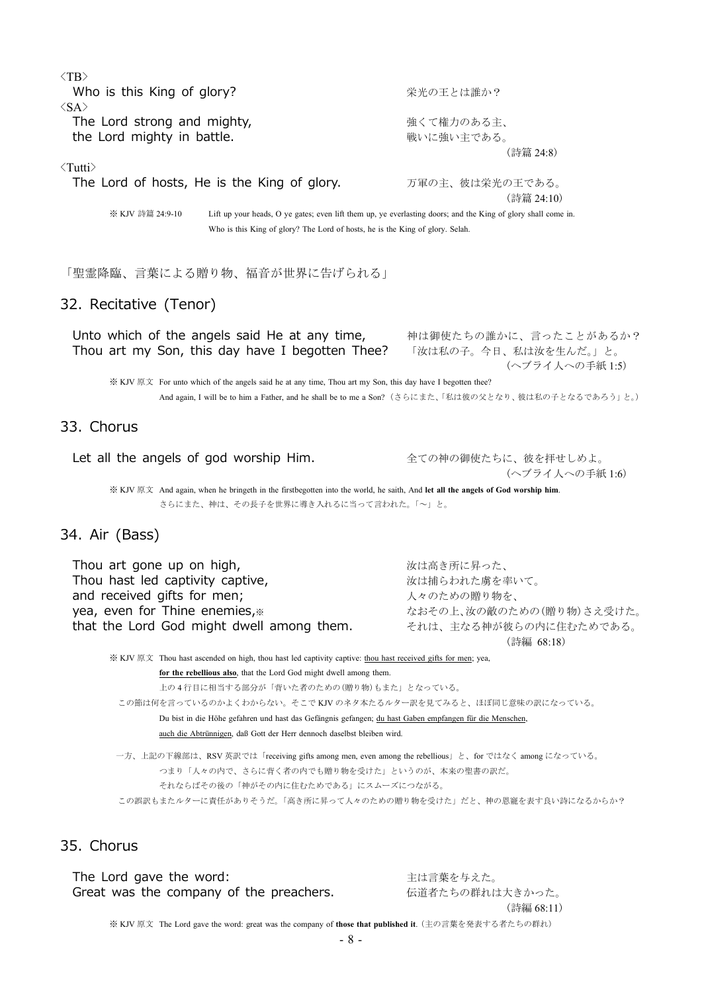| $\langle TB \rangle$                                                                                                                                                              |                                                                   |
|-----------------------------------------------------------------------------------------------------------------------------------------------------------------------------------|-------------------------------------------------------------------|
| Who is this King of glory?                                                                                                                                                        | 栄光の王とは誰か?                                                         |
| $\langle$ SA $\rangle$<br>The Lord strong and mighty,                                                                                                                             | 強くて権力のある主、                                                        |
| the Lord mighty in battle.                                                                                                                                                        | 戦いに強い主である。                                                        |
|                                                                                                                                                                                   | (詩篇 24:8)                                                         |
| $\langle$ Tutti $\rangle$                                                                                                                                                         |                                                                   |
| The Lord of hosts, He is the King of glory.                                                                                                                                       | 万軍の主、彼は栄光の王である。                                                   |
| ※ KJV 詩篇 24:9-10<br>Lift up your heads, O ye gates; even lift them up, ye everlasting doors; and the King of glory shall come in.                                                 | (詩篇 24:10)                                                        |
| Who is this King of glory? The Lord of hosts, he is the King of glory. Selah.                                                                                                     |                                                                   |
| 「聖霊降臨、言葉による贈り物、福音が世界に告げられる」                                                                                                                                                       |                                                                   |
| 32. Recitative (Tenor)                                                                                                                                                            |                                                                   |
| Unto which of the angels said He at any time,<br>Thou art my Son, this day have I begotten Thee?                                                                                  | 神は御使たちの誰かに、言ったことがあるか?<br>「汝は私の子。今日、私は汝を生んだ。」と。<br>(ヘブライ人への手紙 1:5) |
| ※ KJV 原文 For unto which of the angels said he at any time, Thou art my Son, this day have I begotten thee?                                                                        |                                                                   |
| And again, I will be to him a Father, and he shall be to me a Son?(さらにまた、「私は彼の父となり、彼は私の子となるであろう」と。)                                                                               |                                                                   |
| 33. Chorus                                                                                                                                                                        |                                                                   |
| Let all the angels of god worship Him.                                                                                                                                            | 全ての神の御使たちに、彼を拝せしめよ。<br>(ヘブライ人への手紙1:6)                             |
| ※ KJV 原文 And again, when he bringeth in the firstbegotten into the world, he saith, And let all the angels of God worship him.                                                    |                                                                   |
| さらにまた、神は、その長子を世界に導き入れるに当って言われた。「~」と。                                                                                                                                              |                                                                   |
| 34. Air (Bass)                                                                                                                                                                    |                                                                   |
| Thou art gone up on high,                                                                                                                                                         | 汝は高き所に昇った、                                                        |
| Thou hast led captivity captive,                                                                                                                                                  | 汝は捕らわれた虜を率いて。                                                     |
| and received gifts for men;                                                                                                                                                       | 人々のための贈り物を、                                                       |
| yea, even for Thine enemies,                                                                                                                                                      | なおその上、汝の敵のための(贈り物)さえ受けた。                                          |
| that the Lord God might dwell among them.                                                                                                                                         | それは、主なる神が彼らの内に住むためである。<br>(詩編 68:18)                              |
| ※ KJV 原文 Thou hast ascended on high, thou hast led captivity captive: thou hast received gifts for men; yea,                                                                      |                                                                   |
| for the rebellious also, that the Lord God might dwell among them.                                                                                                                |                                                                   |
| 上の4行目に相当する部分が「背いた者のための(贈り物)もまた」となっている。                                                                                                                                            |                                                                   |
| この節は何を言っているのかよくわからない。そこでKJV のネタ本たるルター訳を見てみると、ほぼ同じ意味の訳になっている。                                                                                                                      |                                                                   |
| Du bist in die Höhe gefahren und hast das Gefängnis gefangen; du hast Gaben empfangen für die Menschen,<br>auch die Abtrünnigen, daß Gott der Herr dennoch daselbst bleiben wird. |                                                                   |
| 一方、上記の下線部は、RSV 英訳では「receiving gifts among men, even among the rebellious」と、for ではなく among になっている。                                                                                 |                                                                   |
| つまり「人々の内で、さらに背く者の内でも贈り物を受けた」というのが、本来の聖書の訳だ。                                                                                                                                       |                                                                   |
| それならばその後の「神がその内に住むためである」にスムーズにつながる。                                                                                                                                               |                                                                   |
| この誤訳もまたルターに責任がありそうだ。「高き所に昇って人々のための贈り物を受けた」だと、神の恩寵を表す良い詩になるからか?                                                                                                                    |                                                                   |
| 35. Chorus                                                                                                                                                                        |                                                                   |
| The Lord gave the word:                                                                                                                                                           | 主は言葉を与えた。                                                         |
| Great was the company of the preachers.                                                                                                                                           | 伝道者たちの群れは大きかった。                                                   |
|                                                                                                                                                                                   | (詩編 68:11)                                                        |

※ KJV 原文 The Lord gave the word: great was the company of **those that published it**. (主の言葉を発表する者たちの群れ)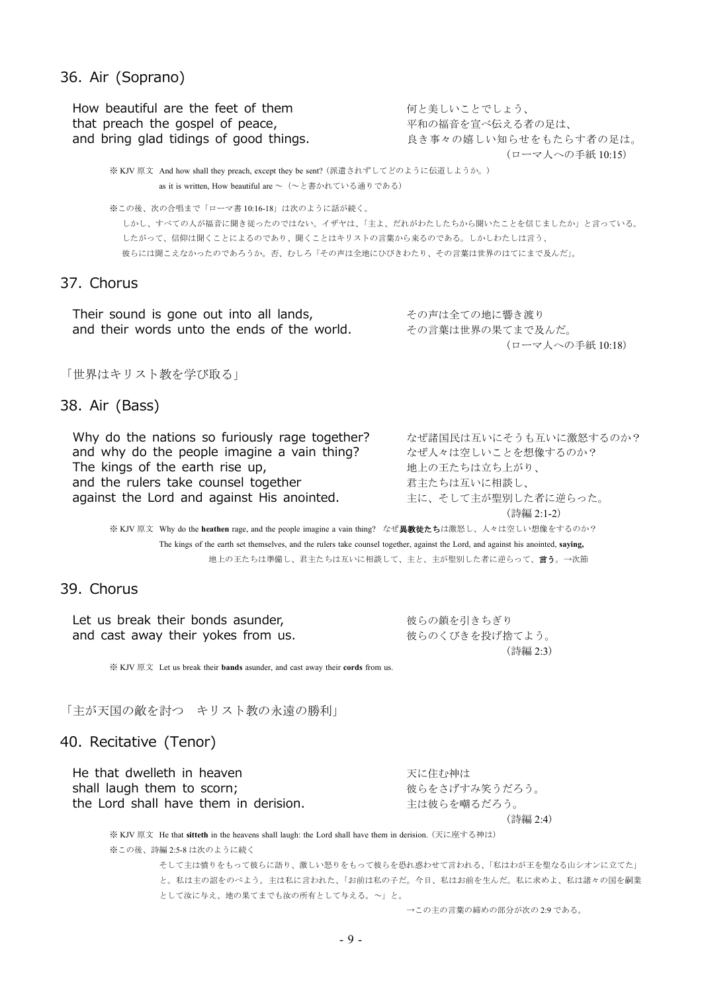#### 36. Air (Soprano)

How beautiful are the feet of them インクリング 何と美しいことでしょう、 that preach the gospel of peace, アイトリック 平和の福音を宣べ伝える者の足は、 and bring glad tidings of good things. まき事々の嬉しい知らせをもたらす者の足は。 (ローマ人への手紙 10:15) ※ KJV 原文 And how shall they preach, except they be sent? (派遣されずしてどのように伝道しようか。) as it is written. How beautiful are  $\sim$  (~と書かれている通りである) ※この後、次の合唱まで「ローマ書 10:16-18」は次のように話が続く。 しかし、すべての人が福音に聞き従ったのではない。イザヤは、「主よ、だれがわたしたちから聞いたことを信じましたか」と言っている。 したがって、信仰は聞くことによるのであり、聞くことはキリストの言葉から来るのである。しかしわたしは言う、 彼らには聞こえなかったのであろうか。否、むしろ「その声は全地にひびきわたり、その言葉は世界のはてにまで及んだ」。 37. Chorus Their sound is gone out into all lands, アンチングの声は全ての地に響き渡り and their words unto the ends of the world. その言葉は世界の果てまで及んだ。 (ローマ人への手紙 10:18) 「世界はキリスト教を学び取る」 38. Air (Bass) Why do the nations so furiously rage together? なぜ諸国民は互いにそうも互いに激怒するのか? and why do the people imagine a vain thing? <br>
and why do the people imagine a vain thing? <br>
<br>  $\frac{d}{dt} \frac{d}{dt} \frac{d}{dt} \frac{d}{dt} \frac{d}{dt} \frac{d}{dt} \frac{d}{dt} \frac{d}{dt} \frac{d}{dt} \frac{d}{dt} \frac{d}{dt} \frac{d}{dt} \frac{d}{dt} \frac{d}{dt} \frac{d}{dt} \frac{d}{dt} \frac{d}{dt} \frac{d}{dt$ The kings of the earth rise up, アンチョンコントランス 地上の王たちは立ち上がり、 and the rulers take counsel together <br>
コンテンステンステンステンストンに相談し、 against the Lord and against His anointed. 主に、そして主が聖別した者に逆らった。 (詩編 2:1-2) ※ KJV 原文 Why do the heathen rage, and the people imagine a vain thing? なぜ**異教徒たち**は激怒し、人々は空しい想像をするのか? The kings of the earth set themselves, and the rulers take counsel together, against the Lord, and against his anointed, **saying,** 地上の王たちは準備し、君主たちは互いに相談して、主と、主が聖別した者に逆らって、言う。→次節 39. Chorus Let us break their bonds asunder, http://www.wasabander.com/wasabander.com/wasabander.com/wasabander and cast away their yokes from us. みずみなどのくびきを投げ捨てよう。 (詩編 2:3) ※ KJV 原文 Let us break their **bands** asunder, and cast away their **cords** from us. 「主が天国の敵を討つ キリスト教の永遠の勝利」 40. Recitative (Tenor)

He that dwelleth in heaven **アイランス かんしょう まき**に住む神は shall laugh them to scorn; https://www.facebook.com/www.facebook.com/www.facebook.com/www.facebook.com/www.facebook.com/ the Lord shall have them in derision. 主は彼らを嘲るだろう。 (詩編 2:4)

※ KJV 原文 He that **sitteth** in the heavens shall laugh: the Lord shall have them in derision. (天に座する神は) ※この後、詩編 2:5-8 は次のように続く

そして主は憤りをもって彼らに語り、激しい怒りをもって彼らを恐れ惑わせて言われる、「私はわが王を聖なる山シオンに立てた」 と。私は主の詔をのべよう。主は私に言われた、「お前は私の子だ。今日、私はお前を生んだ。私に求めよ、私は諸々の国を嗣業 として汝に与え、地の果てまでも汝の所有として与える。~」と。

→この主の言葉の締めの部分が次の 2:9 である。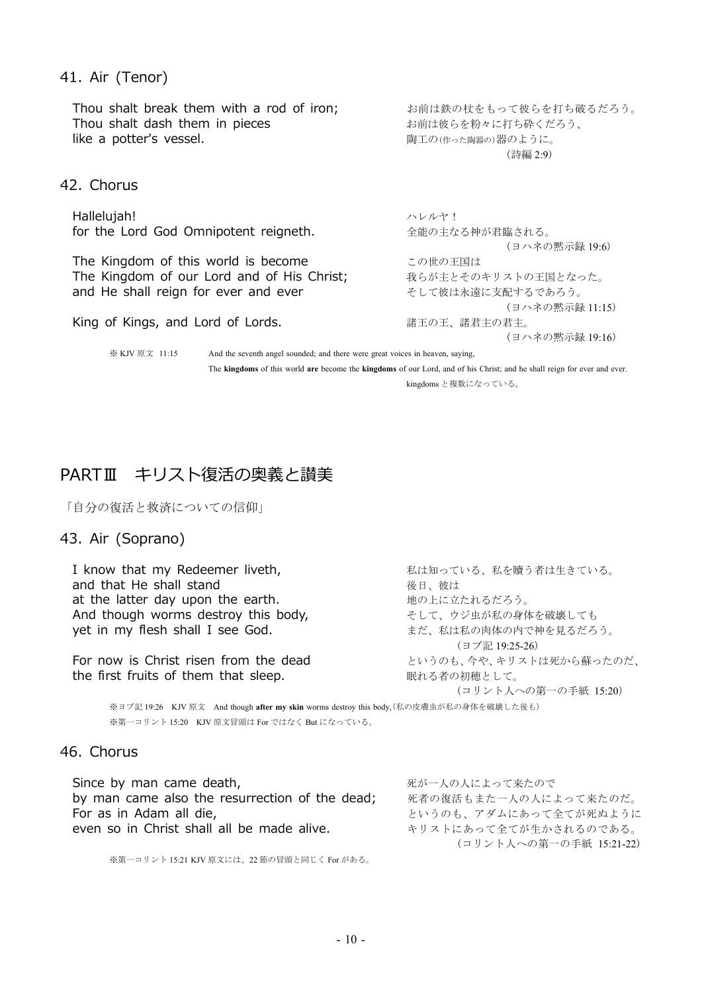### 41. Air (Tenor)

| Thou shalt break them with a rod of iron;<br>Thou shalt dash them in pieces<br>like a potter's vessel. | お前は鉄の杖をもって彼らを打ち破るだろう。<br>お前は彼らを粉々に打ち砕くだろう、<br>陶工の(作った陶器の)器のように。<br>(詩編 2:9) |
|--------------------------------------------------------------------------------------------------------|-----------------------------------------------------------------------------|
|                                                                                                        |                                                                             |
| 42. Chorus                                                                                             |                                                                             |
| Hallelujah!                                                                                            | ハレルヤ!                                                                       |
| for the Lord God Omnipotent reigneth.                                                                  | 全能の主なる神が君臨される。                                                              |
|                                                                                                        | (ヨハネの黙示録 19:6)                                                              |
| The Kingdom of this world is become                                                                    | この世の王国は                                                                     |
| The Kingdom of our Lord and of His Christ;                                                             | 我らが主とそのキリストの王国となった。                                                         |
| and He shall reign for ever and ever                                                                   | そして彼は永遠に支配するであろう。                                                           |
|                                                                                                        | (ヨハネの黙示録 11:15)                                                             |
| King of Kings, and Lord of Lords.                                                                      | 諸王の王、諸君主の君主。                                                                |
|                                                                                                        | (ヨハネの黙示録 19:16)                                                             |

※ KJV 原文 11:15 And the seventh angel sounded; and there were great voices in heaven, saying, The **kingdoms** of this world **are** become the **kingdoms** of our Lord, and of his Christ; and he shall reign for ever and ever.

kingdoms と複数になっている。

# PARTⅢ キリスト復活の奥義と讃美

「自分の復活と救済についての信仰」

## 43. Air (Soprano)

I know that my Redeemer liveth, http://www.markital.com/www.markital.com/www.markital.com/www.markital.com/ and that He shall stand<br>at the latter day upon the earth.<br>
<sub>地の上に立たれるだろう。</sub> at the latter day upon the earth. And though worms destroy this body, そして、ウジ虫が私の身体を破壊しても yet in my flesh shall I see God. <br>
and the state of the state of the state of the state of the state of the state of the state of the state of t (ヨブ記 19:25-26) For now is Christ risen from the dead というのも、今や、キリストは死から蘇ったのだ、 the first fruits of them that sleep. <br>
■ 眠れる者の初穂として。 (コリント人への第一の手紙 15:20) ※ヨブ記 19:26 KJV 原文 And though **after my skin** worms destroy this body,(私の皮膚虫が私の身体を破壊した後も)

※第一コリント 15:20 KJV 原文冒頭は For ではなく But になっている。

## 46. Chorus

| Since by man came death,                       | 死が一人の人によって来たので          |
|------------------------------------------------|-------------------------|
| by man came also the resurrection of the dead; | 死者の復活もまた一人の人によって来たのだ。   |
| For as in Adam all die,                        | というのも、アダムにあって全てが死ぬように   |
| even so in Christ shall all be made alive.     | キリストにあって全てが生かされるのである。   |
|                                                | (コリント人への第一の手紙 15:21-22) |

※第一コリント 15:21 KJV 原文には、22 節の冒頭と同じく For がある。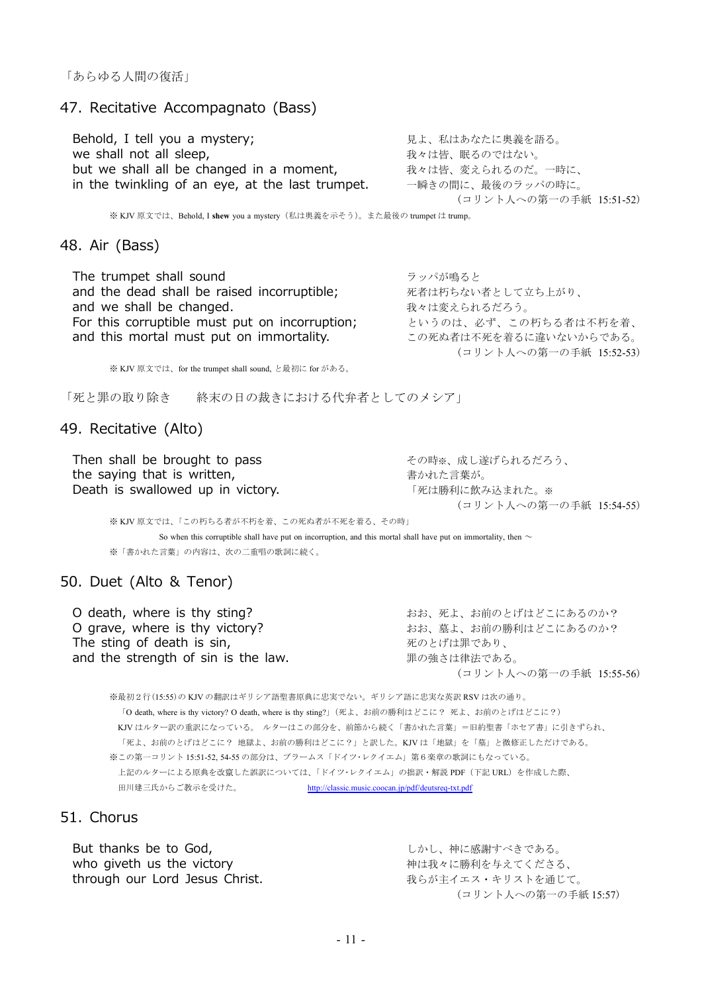## 47. Recitative Accompagnato (Bass)

Behold, I tell you a mystery; <br>
■ 見よ、私はあなたに奥義を語る。 we shall not all sleep, https://www.wellingthe.com/ 我々は皆、眠るのではない。 but we shall all be changed in a moment, 我々は皆、変えられるのだ。一時に、 in the twinkling of an eye, at the last trumpet. 一瞬きの間に、最後のラッパの時に。

(コリント人への第一の手紙 15:51-52)

※ KJV 原文では、Behold, I **shew** you a mystery(私は奥義を示そう)。また最後の trumpet は trump。

#### 48. Air (Bass)

The trumpet shall sound カントリング こうしょうしょう ラッパが鳴ると and the dead shall be raised incorruptible; アオオはあるない者として立ち上がり、 and we shall be changed. <br>
and we shall be changed. For this corruptible must put on incorruption; というのは、必ず、この朽ちる者は不朽を着、 and this mortal must put on immortality. <br>
この死ぬ者は不死を着るに違いないからである。

※ KJV 原文では、for the trumpet shall sound, と最初に for がある。

「死と罪の取り除き 終末の日の裁きにおける代弁者としてのメシア」

#### 49. Recitative (Alto)

Then shall be brought to pass <br>
<sub>その時※、成し遂げられるだろう、</sub> the saying that is written, https://www.mail.com/mail.com/mail.com/mail/absoluter/absoluter/absoluter/absolute Death is swallowed up in victory. <br>
<sub>「死は勝利に飲み込まれた。※</sub>

(コリント人への第一の手紙 15:54-55)

(コリント人への第一の手紙 15:52-53)

※ KJV 原文では、「この朽ちる者が不朽を着、この死ぬ者が不死を着る、その時」

So when this corruptible shall have put on incorruption, and this mortal shall have put on immortality, then  $\sim$ ※「書かれた言葉」の内容は、次の二重唱の歌詞に続く。

#### 50. Duet (Alto & Tenor)

O death, where is thy sting? <br>
and the state of the state is thy sting? O grave, where is thy victory? <br>
and the state of this state is thy victory? The sting of death is sin, https://www.mail.com/www.mail.com/www.mail.com/www.mail.com/www.mail.com/ and the strength of sin is the law. <br>
■ アンチング またの強さは律法である。

(コリント人への第一の手紙 15:55-56)

※最初2行(15:55)の KJV の翻訳はギリシア語聖書原典に忠実でない。ギリシア語に忠実な英訳 RSV は次の通り。 「O death, where is thy victory? O death, where is thy sting?」(死よ、お前の勝利はどこに? 死よ、お前のとげはどこに?) KJV はルター訳の重訳になっている。 ルターはこの部分を、前節から続く「書かれた言葉」=旧約聖書「ホセア書」に引きずられ、 「死よ、お前のとげはどこに? 地獄よ、お前の勝利はどこに?」と訳した。KJV は「地獄」を「墓」と微修正しただけである。 ※この第一コリント 15:51-52, 54-55 の部分は、ブラームス「ドイツ・レクイエム」第6楽章の歌詞にもなっている。 上記のルターによる原典を改竄した誤訳については、「ドイツ・レクイエム」の拙訳・解説 PDF(下記 URL)を作成した際、 田川建三氏からご教示を受けた。 http://classic.music.coocan.jp/pdf/deutsreq-txt.pdf

51. Chorus

But thanks be to God, https://www.facebook.com/bibliography.com/bibliography.com/ who giveth us the victory http://www.marking.com/web/arking-terms.com/web/arkingthrough our Lord Jesus Christ. まちが主イエス・キリストを通じて。

(コリント人への第一の手紙 15:57)